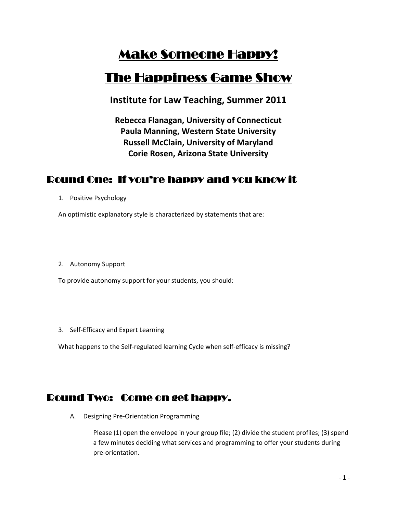# Make Someone Happy!

# The Happiness Game Show

**Institute for Law Teaching, Summer 2011**

**Rebecca Flanagan, University of Connecticut Paula Manning, Western State University Russell McClain, University of Maryland Corie Rosen, Arizona State University**

## Round One: If you're happy and you know it

1. Positive Psychology

An optimistic explanatory style is characterized by statements that are:

2. Autonomy Support

To provide autonomy support for your students, you should:

3. Self‐Efficacy and Expert Learning

What happens to the Self-regulated learning Cycle when self-efficacy is missing?

#### Round Two: Come on get happy.

A. Designing Pre‐Orientation Programming

 Please (1) open the envelope in your group file; (2) divide the student profiles; (3) spend a few minutes deciding what services and programming to offer your students during pre‐orientation.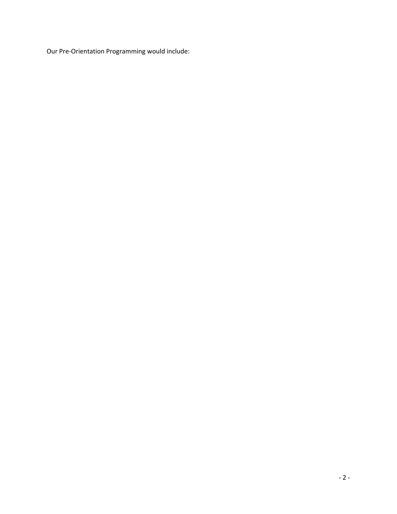Our Pre-Orientation Programming would include: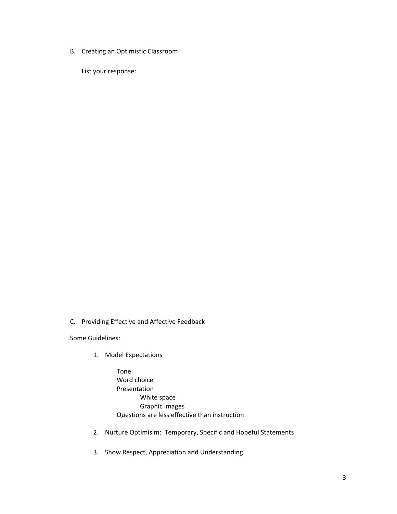B. Creating an Optimistic Classroom

List your response:

C. Providing Effective and Affective Feedback

Some Guidelines:

1. Model Expectations

Tone Word choice Presentation White space Graphic images Questions are less effective than instruction

- 2. Nurture Optimisim: Temporary, Specific and Hopeful Statements
- 3. Show Respect, Appreciation and Understanding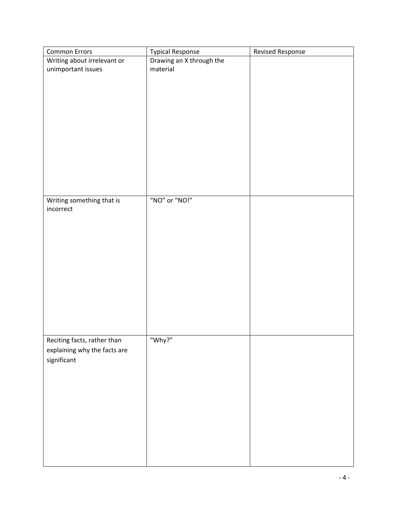| <b>Common Errors</b>         | <b>Typical Response</b>  | <b>Revised Response</b> |
|------------------------------|--------------------------|-------------------------|
| Writing about irrelevant or  | Drawing an X through the |                         |
| unimportant issues           | material                 |                         |
|                              |                          |                         |
|                              |                          |                         |
|                              |                          |                         |
|                              |                          |                         |
|                              |                          |                         |
|                              |                          |                         |
|                              |                          |                         |
|                              |                          |                         |
|                              |                          |                         |
|                              |                          |                         |
|                              |                          |                         |
|                              |                          |                         |
| Writing something that is    | "NO" or "NO!"            |                         |
| incorrect                    |                          |                         |
|                              |                          |                         |
|                              |                          |                         |
|                              |                          |                         |
|                              |                          |                         |
|                              |                          |                         |
|                              |                          |                         |
|                              |                          |                         |
|                              |                          |                         |
|                              |                          |                         |
|                              |                          |                         |
|                              |                          |                         |
|                              |                          |                         |
|                              |                          |                         |
| Reciting facts, rather than  | "Why?"                   |                         |
| explaining why the facts are |                          |                         |
| significant                  |                          |                         |
|                              |                          |                         |
|                              |                          |                         |
|                              |                          |                         |
|                              |                          |                         |
|                              |                          |                         |
|                              |                          |                         |
|                              |                          |                         |
|                              |                          |                         |
|                              |                          |                         |
|                              |                          |                         |